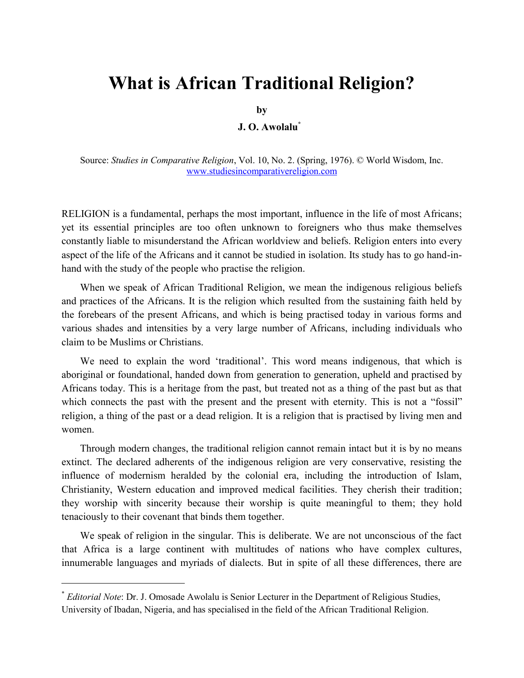# **What is African Traditional Religion?**

**by**

## **J. O. Awolalu\***

Source: *Studies in Comparative Religion*, Vol. 10, No. 2. (Spring, 1976). © World Wisdom, Inc. [www.studiesincomparativereligion.com](http://www.studiesincomparativereligion.com/)

RELIGION is a fundamental, perhaps the most important, influence in the life of most Africans; yet its essential principles are too often unknown to foreigners who thus make themselves constantly liable to misunderstand the African worldview and beliefs. Religion enters into every aspect of the life of the Africans and it cannot be studied in isolation. Its study has to go hand-inhand with the study of the people who practise the religion.

When we speak of African Traditional Religion, we mean the indigenous religious beliefs and practices of the Africans. It is the religion which resulted from the sustaining faith held by the forebears of the present Africans, and which is being practised today in various forms and various shades and intensities by a very large number of Africans, including individuals who claim to be Muslims or Christians.

We need to explain the word "traditional". This word means indigenous, that which is aboriginal or foundational, handed down from generation to generation, upheld and practised by Africans today. This is a heritage from the past, but treated not as a thing of the past but as that which connects the past with the present and the present with eternity. This is not a "fossil" religion, a thing of the past or a dead religion. It is a religion that is practised by living men and women.

Through modern changes, the traditional religion cannot remain intact but it is by no means extinct. The declared adherents of the indigenous religion are very conservative, resisting the influence of modernism heralded by the colonial era, including the introduction of Islam, Christianity, Western education and improved medical facilities. They cherish their tradition; they worship with sincerity because their worship is quite meaningful to them; they hold tenaciously to their covenant that binds them together.

We speak of religion in the singular. This is deliberate. We are not unconscious of the fact that Africa is a large continent with multitudes of nations who have complex cultures, innumerable languages and myriads of dialects. But in spite of all these differences, there are

<sup>\*</sup> *Editorial Note*: Dr. J. Omosade Awolalu is Senior Lecturer in the Department of Religious Studies, University of Ibadan, Nigeria, and has specialised in the field of the African Traditional Religion.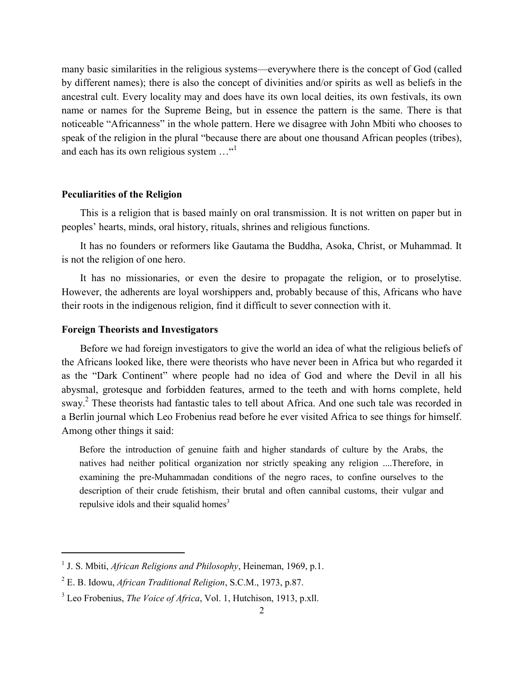many basic similarities in the religious systems—everywhere there is the concept of God (called by different names); there is also the concept of divinities and/or spirits as well as beliefs in the ancestral cult. Every locality may and does have its own local deities, its own festivals, its own name or names for the Supreme Being, but in essence the pattern is the same. There is that noticeable "Africanness" in the whole pattern. Here we disagree with John Mbiti who chooses to speak of the religion in the plural "because there are about one thousand African peoples (tribes), and each has its own religious system ..."<sup>1</sup>

#### **Peculiarities of the Religion**

This is a religion that is based mainly on oral transmission. It is not written on paper but in peoples" hearts, minds, oral history, rituals, shrines and religious functions.

It has no founders or reformers like Gautama the Buddha, Asoka, Christ, or Muhammad. It is not the religion of one hero.

It has no missionaries, or even the desire to propagate the religion, or to proselytise. However, the adherents are loyal worshippers and, probably because of this, Africans who have their roots in the indigenous religion, find it difficult to sever connection with it.

## **Foreign Theorists and Investigators**

 $\overline{\phantom{a}}$ 

Before we had foreign investigators to give the world an idea of what the religious beliefs of the Africans looked like, there were theorists who have never been in Africa but who regarded it as the "Dark Continent" where people had no idea of God and where the Devil in all his abysmal, grotesque and forbidden features, armed to the teeth and with horns complete, held sway.<sup>2</sup> These theorists had fantastic tales to tell about Africa. And one such tale was recorded in a Berlin journal which Leo Frobenius read before he ever visited Africa to see things for himself. Among other things it said:

Before the introduction of genuine faith and higher standards of culture by the Arabs, the natives had neither political organization nor strictly speaking any religion ....Therefore, in examining the pre-Muhammadan conditions of the negro races, to confine ourselves to the description of their crude fetishism, their brutal and often cannibal customs, their vulgar and repulsive idols and their squalid homes<sup>3</sup>

<sup>&</sup>lt;sup>1</sup> J. S. Mbiti, *African Religions and Philosophy*, Heineman, 1969, p.1.

<sup>2</sup> E. B. Idowu, *African Traditional Religion*, S.C.M., 1973, p.87.

<sup>3</sup> Leo Frobenius, *The Voice of Africa*, Vol. 1, Hutchison, 1913, p.xll.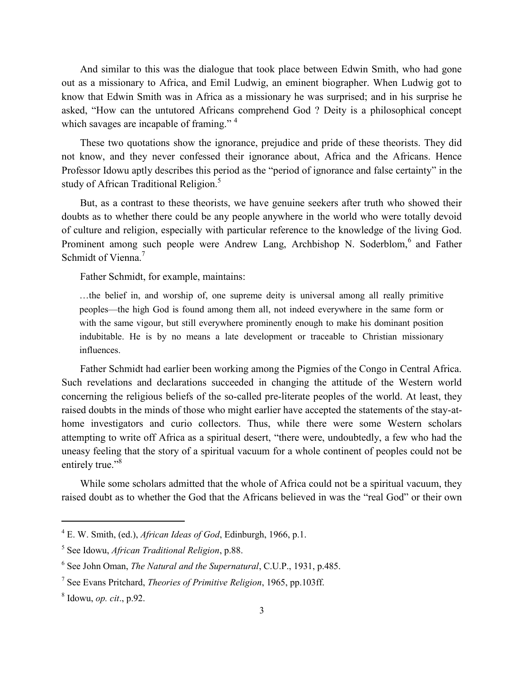And similar to this was the dialogue that took place between Edwin Smith, who had gone out as a missionary to Africa, and Emil Ludwig, an eminent biographer. When Ludwig got to know that Edwin Smith was in Africa as a missionary he was surprised; and in his surprise he asked, "How can the untutored Africans comprehend God ? Deity is a philosophical concept which savages are incapable of framing."<sup>4</sup>

These two quotations show the ignorance, prejudice and pride of these theorists. They did not know, and they never confessed their ignorance about, Africa and the Africans. Hence Professor Idowu aptly describes this period as the "period of ignorance and false certainty" in the study of African Traditional Religion.<sup>5</sup>

But, as a contrast to these theorists, we have genuine seekers after truth who showed their doubts as to whether there could be any people anywhere in the world who were totally devoid of culture and religion, especially with particular reference to the knowledge of the living God. Prominent among such people were Andrew Lang, Archbishop N. Soderblom,<sup>6</sup> and Father Schmidt of Vienna<sup>7</sup>

Father Schmidt, for example, maintains:

…the belief in, and worship of, one supreme deity is universal among all really primitive peoples—the high God is found among them all, not indeed everywhere in the same form or with the same vigour, but still everywhere prominently enough to make his dominant position indubitable. He is by no means a late development or traceable to Christian missionary influences.

Father Schmidt had earlier been working among the Pigmies of the Congo in Central Africa. Such revelations and declarations succeeded in changing the attitude of the Western world concerning the religious beliefs of the so-called pre-literate peoples of the world. At least, they raised doubts in the minds of those who might earlier have accepted the statements of the stay-athome investigators and curio collectors. Thus, while there were some Western scholars attempting to write off Africa as a spiritual desert, "there were, undoubtedly, a few who had the uneasy feeling that the story of a spiritual vacuum for a whole continent of peoples could not be entirely true."<sup>8</sup>

While some scholars admitted that the whole of Africa could not be a spiritual vacuum, they raised doubt as to whether the God that the Africans believed in was the "real God" or their own

 $\overline{a}$ 

<sup>4</sup> E. W. Smith, (ed.), *African Ideas of God*, Edinburgh, 1966, p.1.

<sup>5</sup> See Idowu, *African Traditional Religion*, p.88.

<sup>6</sup> See John Oman, *The Natural and the Supernatural*, C.U.P., 1931, p.485.

<sup>7</sup> See Evans Pritchard, *Theories of Primitive Religion*, 1965, pp.103ff.

<sup>8</sup> Idowu, *op. cit*., p.92.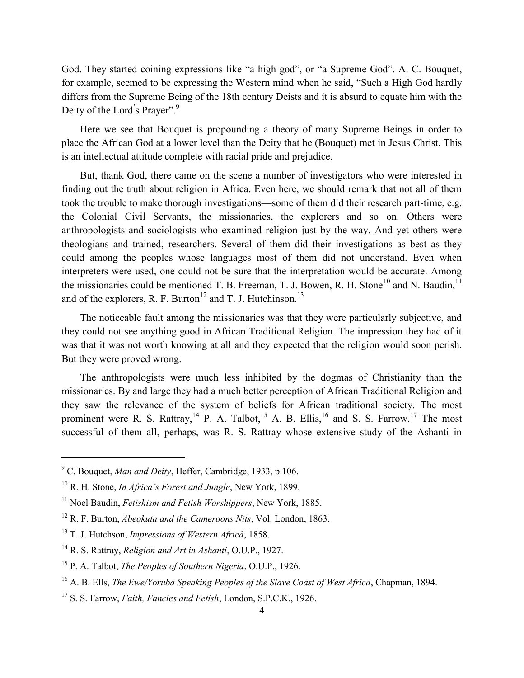God. They started coining expressions like "a high god", or "a Supreme God". A. C. Bouquet, for example, seemed to be expressing the Western mind when he said, "Such a High God hardly differs from the Supreme Being of the 18th century Deists and it is absurd to equate him with the Deity of the Lord's Prayer".<sup>9</sup>

Here we see that Bouquet is propounding a theory of many Supreme Beings in order to place the African God at a lower level than the Deity that he (Bouquet) met in Jesus Christ. This is an intellectual attitude complete with racial pride and prejudice.

But, thank God, there came on the scene a number of investigators who were interested in finding out the truth about religion in Africa. Even here, we should remark that not all of them took the trouble to make thorough investigations—some of them did their research part-time, e.g. the Colonial Civil Servants, the missionaries, the explorers and so on. Others were anthropologists and sociologists who examined religion just by the way. And yet others were theologians and trained, researchers. Several of them did their investigations as best as they could among the peoples whose languages most of them did not understand. Even when interpreters were used, one could not be sure that the interpretation would be accurate. Among the missionaries could be mentioned T. B. Freeman, T. J. Bowen, R. H. Stone<sup>10</sup> and N. Baudin.<sup>11</sup> and of the explorers, R. F. Burton<sup>12</sup> and T. J. Hutchinson.<sup>13</sup>

The noticeable fault among the missionaries was that they were particularly subjective, and they could not see anything good in African Traditional Religion. The impression they had of it was that it was not worth knowing at all and they expected that the religion would soon perish. But they were proved wrong.

The anthropologists were much less inhibited by the dogmas of Christianity than the missionaries. By and large they had a much better perception of African Traditional Religion and they saw the relevance of the system of beliefs for African traditional society. The most prominent were R. S. Rattray,<sup>14</sup> P. A. Talbot,<sup>15</sup> A. B. Ellis,<sup>16</sup> and S. S. Farrow.<sup>17</sup> The most successful of them all, perhaps, was R. S. Rattray whose extensive study of the Ashanti in

 $\overline{a}$ 

<sup>9</sup> C. Bouquet, *Man and Deity*, Heffer, Cambridge, 1933, p.106.

<sup>10</sup> R. H. Stone, *In Africa's Forest and Jungle*, New York, 1899.

<sup>11</sup> Noel Baudin, *Fetishism and Fetish Worshippers*, New York, 1885.

<sup>12</sup> R. F. Burton, *Abeokuta and the Cameroons Nits*, Vol. London, 1863.

<sup>13</sup> T. J. Hutchson, *Impressions of Western Africà*, 1858.

<sup>14</sup> R. S. Rattray, *Religion and Art in Ashanti*, O.U.P., 1927.

<sup>15</sup> P. A. Talbot, *The Peoples of Southern Nigeria*, O.U.P., 1926.

<sup>16</sup> A. B. Ells, *The Ewe/Yoruba Speaking Peoples of the Slave Coast of West Africa*, Chapman, 1894.

<sup>17</sup> S. S. Farrow, *Faith, Fancies and Fetish*, London, S.P.C.K., 1926.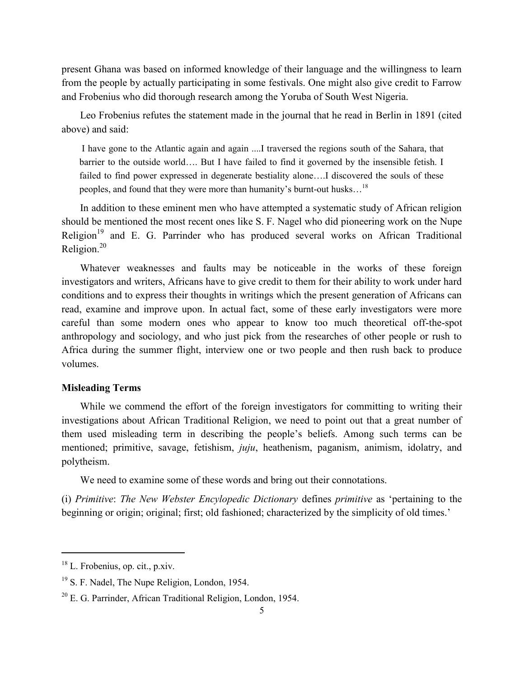present Ghana was based on informed knowledge of their language and the willingness to learn from the people by actually participating in some festivals. One might also give credit to Farrow and Frobenius who did thorough research among the Yoruba of South West Nigeria.

Leo Frobenius refutes the statement made in the journal that he read in Berlin in 1891 (cited above) and said:

I have gone to the Atlantic again and again ....I traversed the regions south of the Sahara, that barrier to the outside world…. But I have failed to find it governed by the insensible fetish. I failed to find power expressed in degenerate bestiality alone….I discovered the souls of these peoples, and found that they were more than humanity's burnt-out husks...<sup>18</sup>

In addition to these eminent men who have attempted a systematic study of African religion should be mentioned the most recent ones like S. F. Nagel who did pioneering work on the Nupe Religion<sup>19</sup> and E. G. Parrinder who has produced several works on African Traditional Religion.<sup>20</sup>

Whatever weaknesses and faults may be noticeable in the works of these foreign investigators and writers, Africans have to give credit to them for their ability to work under hard conditions and to express their thoughts in writings which the present generation of Africans can read, examine and improve upon. In actual fact, some of these early investigators were more careful than some modern ones who appear to know too much theoretical off-the-spot anthropology and sociology, and who just pick from the researches of other people or rush to Africa during the summer flight, interview one or two people and then rush back to produce volumes.

## **Misleading Terms**

While we commend the effort of the foreign investigators for committing to writing their investigations about African Traditional Religion, we need to point out that a great number of them used misleading term in describing the people"s beliefs. Among such terms can be mentioned; primitive, savage, fetishism, *juju*, heathenism, paganism, animism, idolatry, and polytheism.

We need to examine some of these words and bring out their connotations.

(i) *Primitive*: *The New Webster Encylopedic Dictionary* defines *primitive* as "pertaining to the beginning or origin; original; first; old fashioned; characterized by the simplicity of old times.'

<sup>18</sup> L. Frobenius, op. cit., p.xiv.

<sup>&</sup>lt;sup>19</sup> S. F. Nadel, The Nupe Religion, London, 1954.

 $20$  E. G. Parrinder, African Traditional Religion, London, 1954.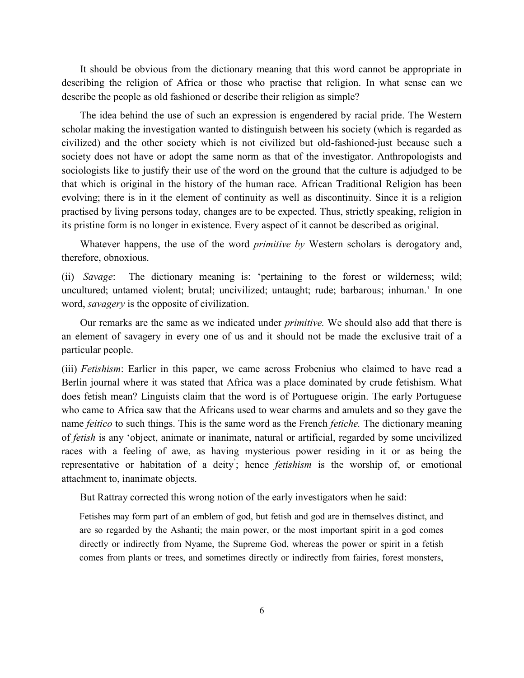It should be obvious from the dictionary meaning that this word cannot be appropriate in describing the religion of Africa or those who practise that religion. In what sense can we describe the people as old fashioned or describe their religion as simple?

The idea behind the use of such an expression is engendered by racial pride. The Western scholar making the investigation wanted to distinguish between his society (which is regarded as civilized) and the other society which is not civilized but old-fashioned-just because such a society does not have or adopt the same norm as that of the investigator. Anthropologists and sociologists like to justify their use of the word on the ground that the culture is adjudged to be that which is original in the history of the human race. African Traditional Religion has been evolving; there is in it the element of continuity as well as discontinuity. Since it is a religion practised by living persons today, changes are to be expected. Thus, strictly speaking, religion in its pristine form is no longer in existence. Every aspect of it cannot be described as original.

Whatever happens, the use of the word *primitive by* Western scholars is derogatory and, therefore, obnoxious.

(ii) *Savage*: The dictionary meaning is: "pertaining to the forest or wilderness; wild; uncultured; untamed violent; brutal; uncivilized; untaught; rude; barbarous; inhuman." In one word, *savagery* is the opposite of civilization.

Our remarks are the same as we indicated under *primitive.* We should also add that there is an element of savagery in every one of us and it should not be made the exclusive trait of a particular people.

(iii) *Fetishism*: Earlier in this paper, we came across Frobenius who claimed to have read a Berlin journal where it was stated that Africa was a place dominated by crude fetishism. What does fetish mean? Linguists claim that the word is of Portuguese origin. The early Portuguese who came to Africa saw that the Africans used to wear charms and amulets and so they gave the name *feitico* to such things. This is the same word as the French *fetiche.* The dictionary meaning of *fetish* is any "object, animate or inanimate, natural or artificial, regarded by some uncivilized races with a feeling of awe, as having mysterious power residing in it or as being the representative or habitation of a deity; hence *fetishism* is the worship of, or emotional attachment to, inanimate objects.

But Rattray corrected this wrong notion of the early investigators when he said:

Fetishes may form part of an emblem of god, but fetish and god are in themselves distinct, and are so regarded by the Ashanti; the main power, or the most important spirit in a god comes directly or indirectly from Nyame, the Supreme God, whereas the power or spirit in a fetish comes from plants or trees, and sometimes directly or indirectly from fairies, forest monsters,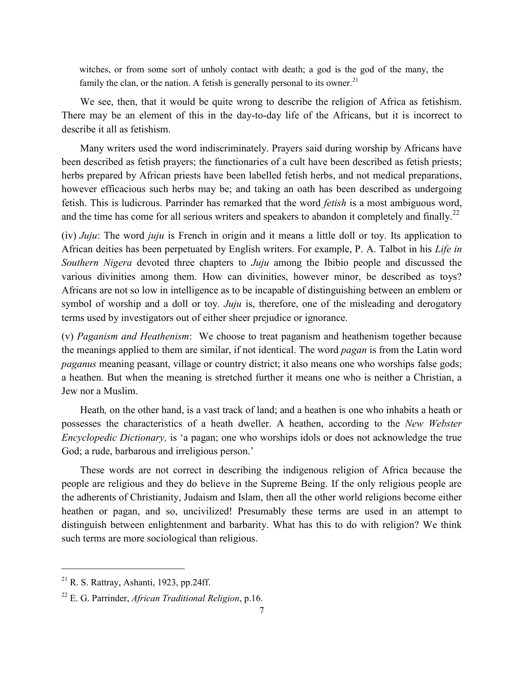witches, or from some sort of unholy contact with death; a god is the god of the many, the family the clan, or the nation. A fetish is generally personal to its owner.<sup>21</sup>

We see, then, that it would be quite wrong to describe the religion of Africa as fetishism. There may be an element of this in the day-to-day life of the Africans, but it is incorrect to describe it all as fetishism.

Many writers used the word indiscriminately. Prayers said during worship by Africans have been described as fetish prayers; the functionaries of a cult have been described as fetish priests; herbs prepared by African priests have been labelled fetish herbs, and not medical preparations, however efficacious such herbs may be; and taking an oath has been described as undergoing fetish. This is ludicrous. Parrinder has remarked that the word *fetish* is a most ambiguous word, and the time has come for all serious writers and speakers to abandon it completely and finally.<sup>22</sup>

(iv) *Juju*: The word *juju* is French in origin and it means a little doll or toy. Its application to African deities has been perpetuated by English writers. For example, P. A. Talbot in his *Life in Southern Nigera* devoted three chapters to *Juju* among the Ibibio people and discussed the various divinities among them. How can divinities, however minor, be described as toys? Africans are not so low in intelligence as to be incapable of distinguishing between an emblem or symbol of worship and a doll or toy. *Juju* is, therefore, one of the misleading and derogatory terms used by investigators out of either sheer prejudice or ignorance.

(v) *Paganism and Heathenism*: We choose to treat paganism and heathenism together because the meanings applied to them are similar, if not identical. The word *pagan* is from the Latin word *paganus* meaning peasant, village or country district; it also means one who worships false gods; a heathen. But when the meaning is stretched further it means one who is neither a Christian, a Jew nor a Muslim.

Heath*,* on the other hand, is a vast track of land; and a heathen is one who inhabits a heath or possesses the characteristics of a heath dweller. A heathen, according to the *New Webster Encyclopedic Dictionary,* is "a pagan; one who worships idols or does not acknowledge the true God; a rude, barbarous and irreligious person.'

These words are not correct in describing the indigenous religion of Africa because the people are religious and they do believe in the Supreme Being. If the only religious people are the adherents of Christianity, Judaism and Islam, then all the other world religions become either heathen or pagan, and so, uncivilized! Presumably these terms are used in an attempt to distinguish between enlightenment and barbarity. What has this to do with religion? We think such terms are more sociological than religious.

 $21$  R. S. Rattray, Ashanti, 1923, pp.24ff.

<sup>22</sup> E. G. Parrinder, *African Traditional Religion*, p.16.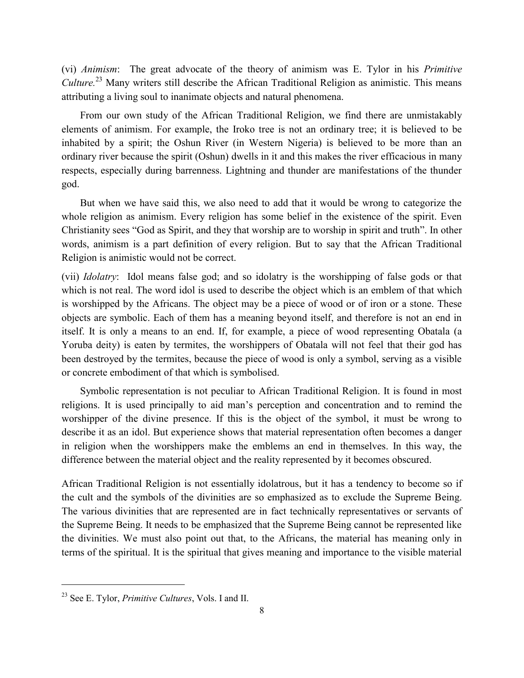(vi) *Animism*: The great advocate of the theory of animism was E. Tylor in his *Primitive Culture.*<sup>23</sup> Many writers still describe the African Traditional Religion as animistic. This means attributing a living soul to inanimate objects and natural phenomena.

From our own study of the African Traditional Religion, we find there are unmistakably elements of animism. For example, the Iroko tree is not an ordinary tree; it is believed to be inhabited by a spirit; the Oshun River (in Western Nigeria) is believed to be more than an ordinary river because the spirit (Oshun) dwells in it and this makes the river efficacious in many respects, especially during barrenness. Lightning and thunder are manifestations of the thunder god.

But when we have said this, we also need to add that it would be wrong to categorize the whole religion as animism. Every religion has some belief in the existence of the spirit. Even Christianity sees "God as Spirit, and they that worship are to worship in spirit and truth". In other words, animism is a part definition of every religion. But to say that the African Traditional Religion is animistic would not be correct.

(vii) *Idolatry*: Idol means false god; and so idolatry is the worshipping of false gods or that which is not real. The word idol is used to describe the object which is an emblem of that which is worshipped by the Africans. The object may be a piece of wood or of iron or a stone. These objects are symbolic. Each of them has a meaning beyond itself, and therefore is not an end in itself. It is only a means to an end. If, for example, a piece of wood representing Obatala (a Yoruba deity) is eaten by termites, the worshippers of Obatala will not feel that their god has been destroyed by the termites, because the piece of wood is only a symbol, serving as a visible or concrete embodiment of that which is symbolised.

Symbolic representation is not peculiar to African Traditional Religion. It is found in most religions. It is used principally to aid man"s perception and concentration and to remind the worshipper of the divine presence. If this is the object of the symbol, it must be wrong to describe it as an idol. But experience shows that material representation often becomes a danger in religion when the worshippers make the emblems an end in themselves. In this way, the difference between the material object and the reality represented by it becomes obscured.

African Traditional Religion is not essentially idolatrous, but it has a tendency to become so if the cult and the symbols of the divinities are so emphasized as to exclude the Supreme Being. The various divinities that are represented are in fact technically representatives or servants of the Supreme Being. It needs to be emphasized that the Supreme Being cannot be represented like the divinities. We must also point out that, to the Africans, the material has meaning only in terms of the spiritual. It is the spiritual that gives meaning and importance to the visible material

<sup>23</sup> See E. Tylor, *Primitive Cultures*, Vols. I and II.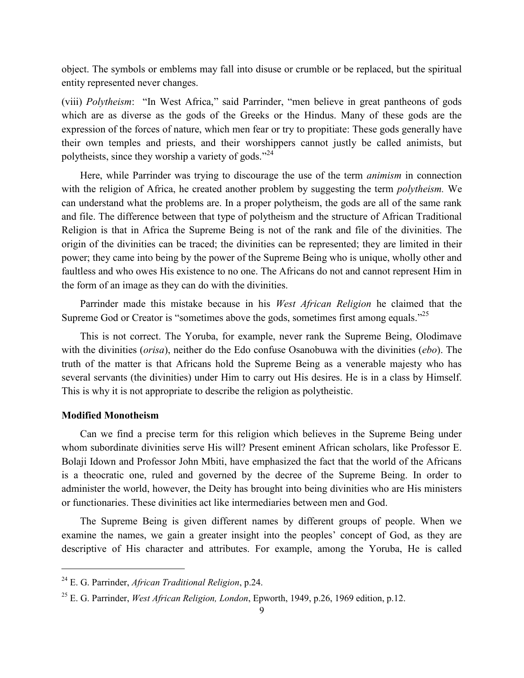object. The symbols or emblems may fall into disuse or crumble or be replaced, but the spiritual entity represented never changes.

(viii) *Polytheism*: "In West Africa," said Parrinder, "men believe in great pantheons of gods which are as diverse as the gods of the Greeks or the Hindus. Many of these gods are the expression of the forces of nature, which men fear or try to propitiate: These gods generally have their own temples and priests, and their worshippers cannot justly be called animists, but polytheists, since they worship a variety of gods."<sup>24</sup>

Here, while Parrinder was trying to discourage the use of the term *animism* in connection with the religion of Africa, he created another problem by suggesting the term *polytheism.* We can understand what the problems are. In a proper polytheism, the gods are all of the same rank and file. The difference between that type of polytheism and the structure of African Traditional Religion is that in Africa the Supreme Being is not of the rank and file of the divinities. The origin of the divinities can be traced; the divinities can be represented; they are limited in their power; they came into being by the power of the Supreme Being who is unique, wholly other and faultless and who owes His existence to no one. The Africans do not and cannot represent Him in the form of an image as they can do with the divinities.

Parrinder made this mistake because in his *West African Religion* he claimed that the Supreme God or Creator is "sometimes above the gods, sometimes first among equals."<sup>25</sup>

This is not correct. The Yoruba, for example, never rank the Supreme Being, Olodimave with the divinities (*orisa*), neither do the Edo confuse Osanobuwa with the divinities (*ebo*). The truth of the matter is that Africans hold the Supreme Being as a venerable majesty who has several servants (the divinities) under Him to carry out His desires. He is in a class by Himself. This is why it is not appropriate to describe the religion as polytheistic.

#### **Modified Monotheism**

 $\overline{\phantom{a}}$ 

Can we find a precise term for this religion which believes in the Supreme Being under whom subordinate divinities serve His will? Present eminent African scholars, like Professor E. Bolaji Idown and Professor John Mbiti, have emphasized the fact that the world of the Africans is a theocratic one, ruled and governed by the decree of the Supreme Being. In order to administer the world, however, the Deity has brought into being divinities who are His ministers or functionaries. These divinities act like intermediaries between men and God.

The Supreme Being is given different names by different groups of people. When we examine the names, we gain a greater insight into the peoples" concept of God, as they are descriptive of His character and attributes. For example, among the Yoruba, He is called

<sup>24</sup> E. G. Parrinder, *African Traditional Religion*, p.24.

<sup>25</sup> E. G. Parrinder, *West African Religion, London*, Epworth, 1949, p.26, 1969 edition, p.12.